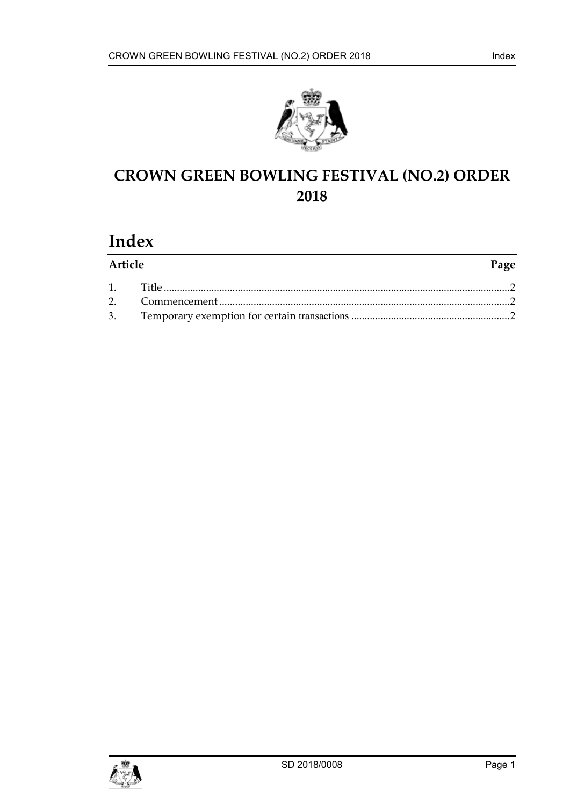

# **CROWN GREEN BOWLING FESTIVAL (NO.2) ORDER 2018**

# **Index**

| Article |  | Page |
|---------|--|------|
|         |  |      |
|         |  |      |
|         |  |      |

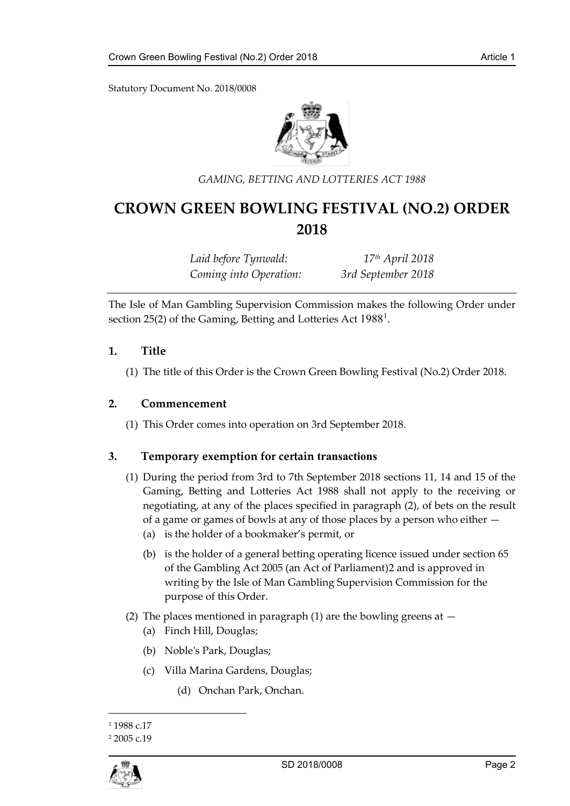Statutory Document No. 2018/0008



#### *GAMING, BETTING AND LOTTERIES ACT 1988*

### **CROWN GREEN BOWLING FESTIVAL (NO.2) ORDER 2018**

*Laid before Tynwald: 17th April 2018 Coming into Operation: 3rd September 2018*

The Isle of Man Gambling Supervision Commission makes the following Order under section 25(2) of the Gaming, Betting and Lotteries Act  $1988<sup>1</sup>$  $1988<sup>1</sup>$ .

#### <span id="page-2-0"></span>**1. Title**

(1) The title of this Order is the Crown Green Bowling Festival (No.2) Order 2018.

#### <span id="page-2-1"></span>**2. Commencement**

(1) This Order comes into operation on 3rd September 2018.

#### <span id="page-2-2"></span>**3. Temporary exemption for certain transactions**

- (1) During the period from 3rd to 7th September 2018 sections 11, 14 and 15 of the Gaming, Betting and Lotteries Act 1988 shall not apply to the receiving or negotiating, at any of the places specified in paragraph (2), of bets on the result of a game or games of bowls at any of those places by a person who either —
	- (a) is the holder of a bookmaker's permit, or
	- (b) is the holder of a general betting operating licence issued under section 65 of the Gambling Act 2005 (an Act of Parliament)[2](#page-2-4) and is approved in writing by the Isle of Man Gambling Supervision Commission for the purpose of this Order.
- (2) The places mentioned in paragraph (1) are the bowling greens at  $-$ 
	- (a) Finch Hill, Douglas;
	- (b) Noble's Park, Douglas;
	- (c) Villa Marina Gardens, Douglas;
		- (d) Onchan Park, Onchan.

 $\overline{a}$ 

<span id="page-2-4"></span><sup>2</sup> 2005 c.19



<span id="page-2-3"></span><sup>&</sup>lt;sup>1</sup> 1988 c.17